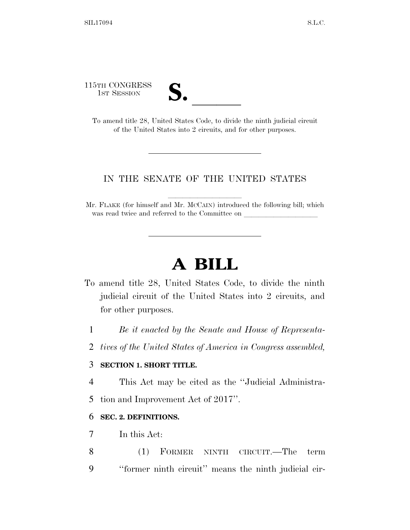115TH CONGRESS

| $\mathbf{\boldsymbol{\omega}}\bullet$ |  |
|---------------------------------------|--|
|                                       |  |

5TH CONGRESS<br>
1ST SESSION<br>
To amend title 28, United States Code, to divide the ninth judicial circuit of the United States into 2 circuits, and for other purposes.

# IN THE SENATE OF THE UNITED STATES

Mr. FLAKE (for himself and Mr. McCAIN) introduced the following bill; which was read twice and referred to the Committee on

# **A BILL**

- To amend title 28, United States Code, to divide the ninth judicial circuit of the United States into 2 circuits, and for other purposes.
	- 1 *Be it enacted by the Senate and House of Representa-*
	- 2 *tives of the United States of America in Congress assembled,*

## 3 **SECTION 1. SHORT TITLE.**

- 4 This Act may be cited as the ''Judicial Administra-
- 5 tion and Improvement Act of 2017''.

# 6 **SEC. 2. DEFINITIONS.**

- 7 In this Act:
- 8 (1) FORMER NINTH CIRCUIT.—The term 9 ''former ninth circuit'' means the ninth judicial cir-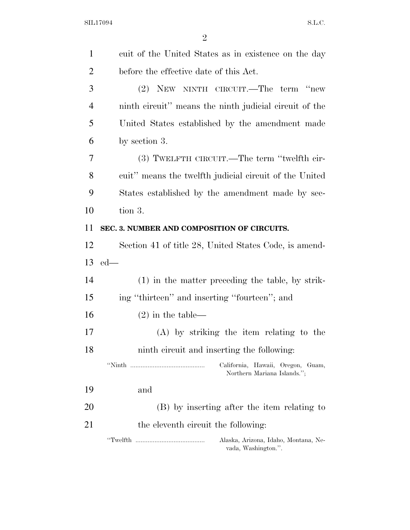| $\mathbf{1}$   | cuit of the United States as in existence on the day             |
|----------------|------------------------------------------------------------------|
| $\overline{2}$ | before the effective date of this Act.                           |
| 3              | (2) NEW NINTH CIRCUIT.—The term "new                             |
| $\overline{4}$ | ninth circuit" means the ninth judicial circuit of the           |
| 5              | United States established by the amendment made                  |
| 6              | by section 3.                                                    |
| 7              | (3) TWELFTH CIRCUIT.—The term "twelfth cir-                      |
| 8              | cuit" means the twelfth judicial circuit of the United           |
| 9              | States established by the amendment made by sec-                 |
| 10             | tion 3.                                                          |
| 11             | SEC. 3. NUMBER AND COMPOSITION OF CIRCUITS.                      |
| 12             | Section 41 of title 28, United States Code, is amend-            |
| 13             | $ed$ —                                                           |
| 14             | $(1)$ in the matter preceding the table, by strik-               |
| 15             | ing "thirteen" and inserting "fourteen"; and                     |
| 16             | $(2)$ in the table—                                              |
| 17             | $(A)$ by striking the item relating to the                       |
| 18             | ninth circuit and inserting the following:                       |
|                | California, Hawaii, Oregon, Guam,<br>Northern Mariana Islands."; |
| 19             | and                                                              |
| 20             | (B) by inserting after the item relating to                      |
| 21             | the eleventh circuit the following:                              |
|                | Alaska, Arizona, Idaho, Montana, Ne-<br>vada, Washington.".      |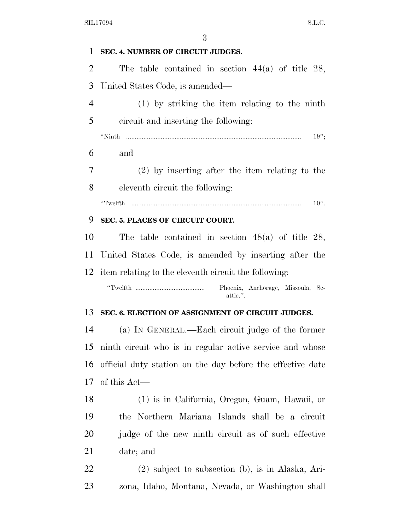| 1              | SEC. 4. NUMBER OF CIRCUIT JUDGES.                          |
|----------------|------------------------------------------------------------|
| 2              | The table contained in section $44(a)$ of title 28,        |
| 3              | United States Code, is amended—                            |
| $\overline{4}$ | $(1)$ by striking the item relating to the ninth           |
| 5              | circuit and inserting the following:                       |
|                | "Ninth<br>19'';                                            |
| 6              | and                                                        |
| 7              | $(2)$ by inserting after the item relating to the          |
| 8              | eleventh circuit the following:                            |
|                | $10$ ".<br>"Twelfth                                        |
| 9              | SEC. 5. PLACES OF CIRCUIT COURT.                           |
| 10             | The table contained in section $48(a)$ of title 28,        |
| 11             | United States Code, is amended by inserting after the      |
|                | 12 item relating to the eleventh circuit the following:    |
|                | Phoenix, Anchorage, Missoula, Se-<br>attle.".              |
| 13             | SEC. 6. ELECTION OF ASSIGNMENT OF CIRCUIT JUDGES.          |
| 14             | (a) IN GENERAL.—Each circuit judge of the former           |
| 15             | ninth circuit who is in regular active service and whose   |
| 16             | official duty station on the day before the effective date |
| 17             | of this Act—                                               |
| 18             | (1) is in California, Oregon, Guam, Hawaii, or             |
| 19             | the Northern Mariana Islands shall be a circuit            |
| 20             | judge of the new ninth circuit as of such effective        |
| 21             | date; and                                                  |
| <u>22</u>      | $(2)$ subject to subsection $(b)$ , is in Alaska, Ari-     |
| 23             | zona, Idaho, Montana, Nevada, or Washington shall          |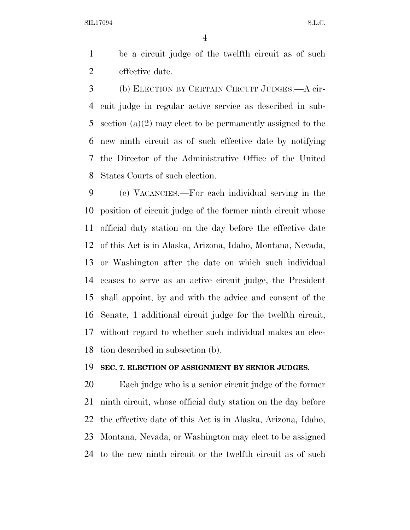be a circuit judge of the twelfth circuit as of such effective date.

 (b) ELECTION BY CERTAIN CIRCUIT JUDGES.—A cir- cuit judge in regular active service as described in sub- section (a)(2) may elect to be permanently assigned to the new ninth circuit as of such effective date by notifying the Director of the Administrative Office of the United States Courts of such election.

 (c) VACANCIES.—For each individual serving in the position of circuit judge of the former ninth circuit whose official duty station on the day before the effective date of this Act is in Alaska, Arizona, Idaho, Montana, Nevada, or Washington after the date on which such individual ceases to serve as an active circuit judge, the President shall appoint, by and with the advice and consent of the Senate, 1 additional circuit judge for the twelfth circuit, without regard to whether such individual makes an elec-tion described in subsection (b).

#### **SEC. 7. ELECTION OF ASSIGNMENT BY SENIOR JUDGES.**

 Each judge who is a senior circuit judge of the former ninth circuit, whose official duty station on the day before the effective date of this Act is in Alaska, Arizona, Idaho, Montana, Nevada, or Washington may elect to be assigned to the new ninth circuit or the twelfth circuit as of such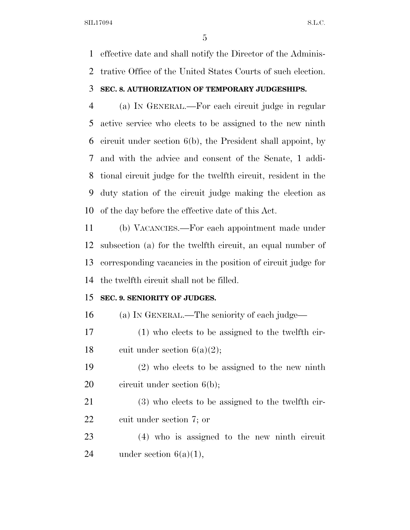effective date and shall notify the Director of the Adminis-trative Office of the United States Courts of such election.

# **SEC. 8. AUTHORIZATION OF TEMPORARY JUDGESHIPS.**

 (a) IN GENERAL.—For each circuit judge in regular active service who elects to be assigned to the new ninth circuit under section 6(b), the President shall appoint, by and with the advice and consent of the Senate, 1 addi- tional circuit judge for the twelfth circuit, resident in the duty station of the circuit judge making the election as of the day before the effective date of this Act.

 (b) VACANCIES.—For each appointment made under subsection (a) for the twelfth circuit, an equal number of corresponding vacancies in the position of circuit judge for the twelfth circuit shall not be filled.

# **SEC. 9. SENIORITY OF JUDGES.**

(a) IN GENERAL.—The seniority of each judge—

 (1) who elects to be assigned to the twelfth cir-18 cuit under section  $6(a)(2)$ ;

 (2) who elects to be assigned to the new ninth 20 circuit under section 6(b);

 (3) who elects to be assigned to the twelfth cir-cuit under section 7; or

 (4) who is assigned to the new ninth circuit 24 under section  $6(a)(1)$ ,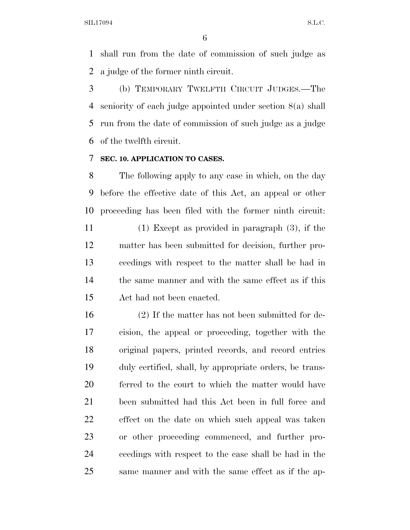shall run from the date of commission of such judge as a judge of the former ninth circuit.

 (b) TEMPORARY TWELFTH CIRCUIT JUDGES.—The seniority of each judge appointed under section 8(a) shall run from the date of commission of such judge as a judge of the twelfth circuit.

# **SEC. 10. APPLICATION TO CASES.**

 The following apply to any case in which, on the day before the effective date of this Act, an appeal or other proceeding has been filed with the former ninth circuit:

 (1) Except as provided in paragraph (3), if the matter has been submitted for decision, further pro- ceedings with respect to the matter shall be had in the same manner and with the same effect as if this Act had not been enacted.

 (2) If the matter has not been submitted for de- cision, the appeal or proceeding, together with the original papers, printed records, and record entries duly certified, shall, by appropriate orders, be trans- ferred to the court to which the matter would have been submitted had this Act been in full force and effect on the date on which such appeal was taken or other proceeding commenced, and further pro- ceedings with respect to the case shall be had in the same manner and with the same effect as if the ap-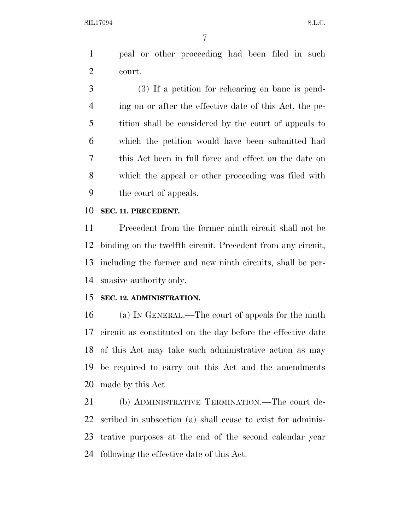peal or other proceeding had been filed in such court.

 (3) If a petition for rehearing en banc is pend- ing on or after the effective date of this Act, the pe- tition shall be considered by the court of appeals to which the petition would have been submitted had this Act been in full force and effect on the date on which the appeal or other proceeding was filed with the court of appeals.

#### **SEC. 11. PRECEDENT.**

 Precedent from the former ninth circuit shall not be binding on the twelfth circuit. Precedent from any circuit, including the former and new ninth circuits, shall be per-suasive authority only.

# **SEC. 12. ADMINISTRATION.**

 (a) IN GENERAL.—The court of appeals for the ninth circuit as constituted on the day before the effective date of this Act may take such administrative action as may be required to carry out this Act and the amendments made by this Act.

 (b) ADMINISTRATIVE TERMINATION.—The court de- scribed in subsection (a) shall cease to exist for adminis- trative purposes at the end of the second calendar year following the effective date of this Act.